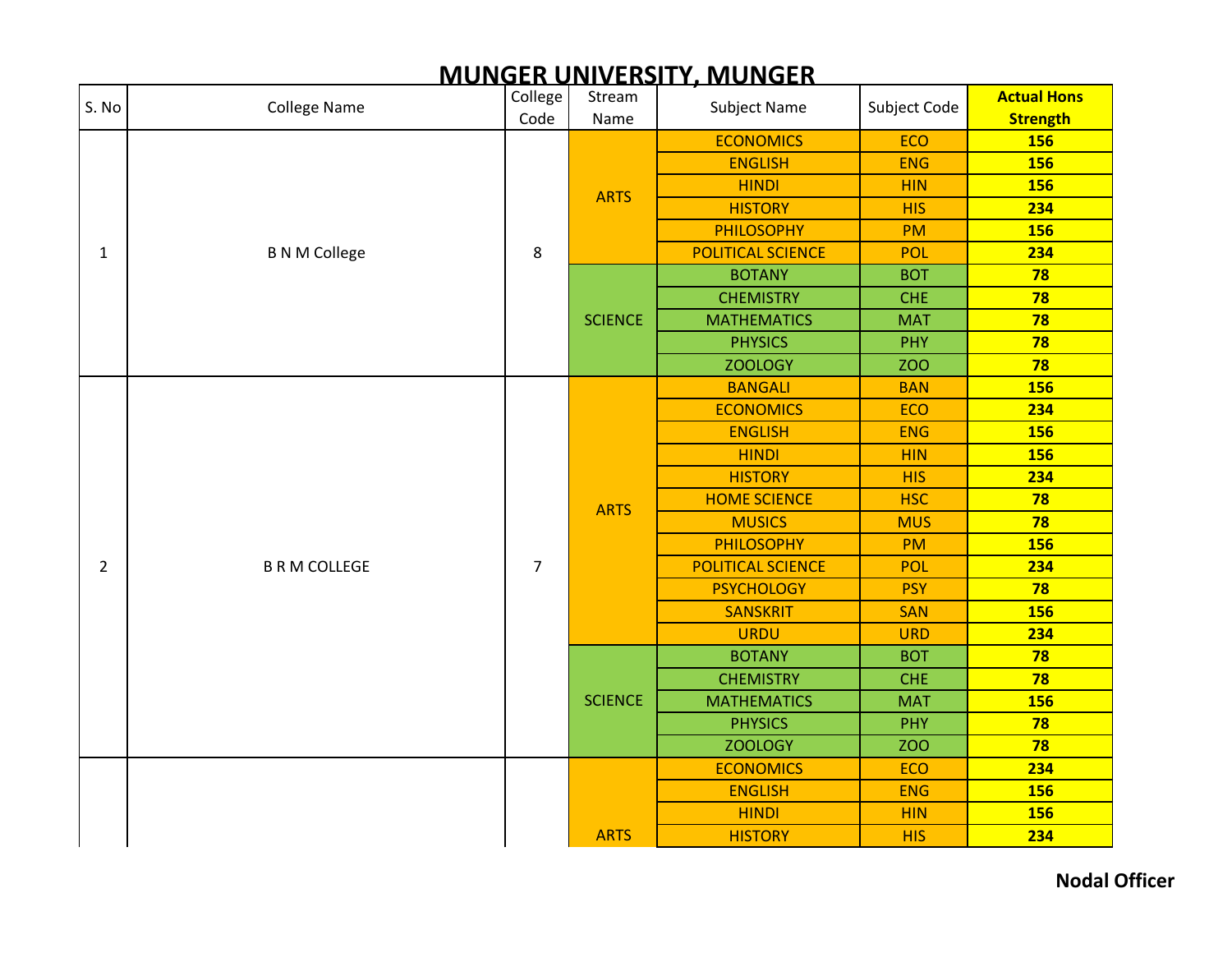| S. No          | <b>College Name</b>  | College<br>Code | Stream         | <b>Subject Name</b>      | Subject Code | <b>Actual Hons</b>            |
|----------------|----------------------|-----------------|----------------|--------------------------|--------------|-------------------------------|
|                |                      |                 | Name           | <b>ECONOMICS</b>         | <b>ECO</b>   | <b>Strength</b><br><b>156</b> |
|                | <b>B N M College</b> |                 |                | <b>ENGLISH</b>           | <b>ENG</b>   | <b>156</b>                    |
|                |                      |                 |                | <b>HINDI</b>             | <b>HIN</b>   | <b>156</b>                    |
|                |                      |                 | <b>ARTS</b>    | <b>HISTORY</b>           | <b>HIS</b>   | 234                           |
|                |                      |                 |                | <b>PHILOSOPHY</b>        | <b>PM</b>    | <b>156</b>                    |
| $\mathbf{1}$   |                      | 8               |                | <b>POLITICAL SCIENCE</b> | <b>POL</b>   | 234                           |
|                |                      |                 |                | <b>BOTANY</b>            | <b>BOT</b>   | 78                            |
|                |                      |                 |                | <b>CHEMISTRY</b>         | <b>CHE</b>   | 78                            |
|                |                      |                 | <b>SCIENCE</b> | <b>MATHEMATICS</b>       | <b>MAT</b>   | 78                            |
|                |                      |                 |                | <b>PHYSICS</b>           | PHY          | 78                            |
|                |                      |                 |                | <b>ZOOLOGY</b>           | <b>ZOO</b>   | 78                            |
|                |                      |                 |                | <b>BANGALI</b>           | <b>BAN</b>   | 156                           |
|                |                      |                 | <b>ARTS</b>    | <b>ECONOMICS</b>         | <b>ECO</b>   | 234                           |
|                | <b>B R M COLLEGE</b> |                 |                | <b>ENGLISH</b>           | <b>ENG</b>   | <b>156</b>                    |
|                |                      | $\overline{7}$  |                | <b>HINDI</b>             | <b>HIN</b>   | <b>156</b>                    |
|                |                      |                 |                | <b>HISTORY</b>           | <b>HIS</b>   | 234                           |
|                |                      |                 |                | <b>HOME SCIENCE</b>      | <b>HSC</b>   | 78                            |
|                |                      |                 |                | <b>MUSICS</b>            | <b>MUS</b>   | 78                            |
|                |                      |                 |                | <b>PHILOSOPHY</b>        | PM           | 156                           |
| $\overline{2}$ |                      |                 |                | <b>POLITICAL SCIENCE</b> | <b>POL</b>   | 234                           |
|                |                      |                 |                | <b>PSYCHOLOGY</b>        | <b>PSY</b>   | 78                            |
|                |                      |                 |                | <b>SANSKRIT</b>          | <b>SAN</b>   | 156                           |
|                |                      |                 |                | <b>URDU</b>              | <b>URD</b>   | 234                           |
|                |                      |                 |                | <b>BOTANY</b>            | <b>BOT</b>   | 78                            |
|                |                      |                 |                | <b>CHEMISTRY</b>         | <b>CHE</b>   | 78                            |
|                |                      |                 | <b>SCIENCE</b> | <b>MATHEMATICS</b>       | <b>MAT</b>   | <b>156</b>                    |
|                |                      |                 |                | <b>PHYSICS</b>           | PHY          | 78                            |
|                |                      |                 |                | <b>ZOOLOGY</b>           | <b>ZOO</b>   | 78                            |
|                |                      |                 |                | <b>ECONOMICS</b>         | ECO          | 234                           |
|                |                      |                 |                | <b>ENGLISH</b>           | <b>ENG</b>   | <b>156</b>                    |
|                |                      |                 |                | <b>HINDI</b>             | <b>HIN</b>   | <b>156</b>                    |
|                |                      |                 | <b>ARTS</b>    | <b>HISTORY</b>           | <b>HIS</b>   | 234                           |

# **MUNGER UNIVERSITY, MUNGER**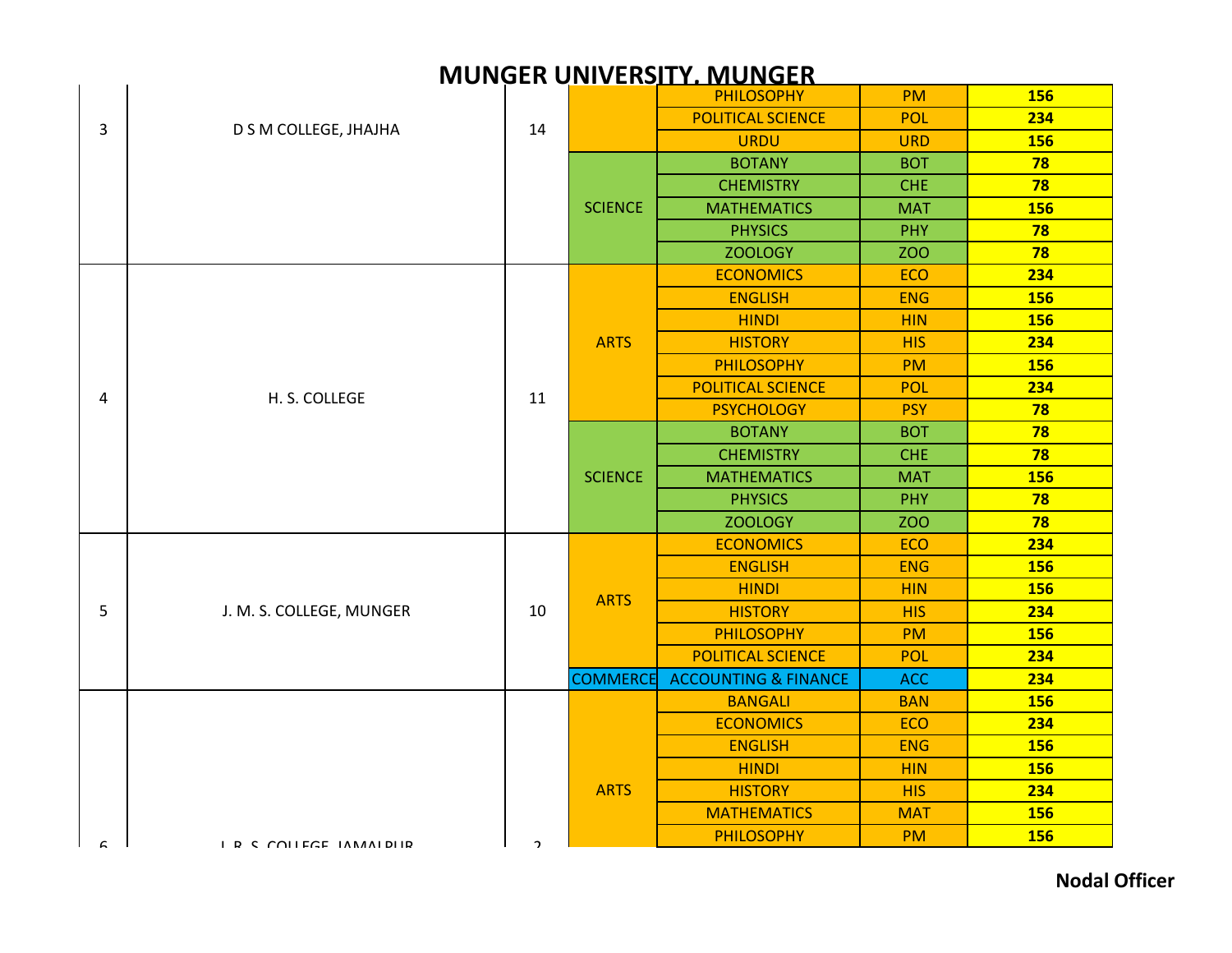|   |                          |    |                 | <b>PHILOSOPHY</b>               | <b>PM</b>  | <b>156</b> |
|---|--------------------------|----|-----------------|---------------------------------|------------|------------|
| 3 | D S M COLLEGE, JHAJHA    | 14 |                 | <b>POLITICAL SCIENCE</b>        | POL        | 234        |
|   |                          |    |                 | <b>URDU</b>                     | <b>URD</b> | <b>156</b> |
|   |                          |    |                 | <b>BOTANY</b>                   | <b>BOT</b> | 78         |
|   |                          |    |                 | <b>CHEMISTRY</b>                | <b>CHE</b> | 78         |
|   |                          |    | <b>SCIENCE</b>  | <b>MATHEMATICS</b>              | <b>MAT</b> | <b>156</b> |
|   |                          |    |                 | <b>PHYSICS</b>                  | PHY        | 78         |
|   |                          |    |                 | <b>ZOOLOGY</b>                  | <b>ZOO</b> | 78         |
|   |                          |    |                 | <b>ECONOMICS</b>                | <b>ECO</b> | 234        |
|   |                          |    |                 | <b>ENGLISH</b>                  | <b>ENG</b> | <b>156</b> |
|   |                          |    |                 | <b>HINDI</b>                    | <b>HIN</b> | <b>156</b> |
|   |                          |    | <b>ARTS</b>     | <b>HISTORY</b>                  | <b>HIS</b> | 234        |
|   |                          |    |                 | <b>PHILOSOPHY</b>               | <b>PM</b>  | <b>156</b> |
| 4 | H. S. COLLEGE            | 11 |                 | <b>POLITICAL SCIENCE</b>        | <b>POL</b> | 234        |
|   |                          |    |                 | <b>PSYCHOLOGY</b>               | <b>PSY</b> | 78         |
|   |                          |    | <b>SCIENCE</b>  | <b>BOTANY</b>                   | <b>BOT</b> | 78         |
|   |                          |    |                 | <b>CHEMISTRY</b>                | <b>CHE</b> | 78         |
|   |                          |    |                 | <b>MATHEMATICS</b>              | <b>MAT</b> | <b>156</b> |
|   |                          |    |                 | <b>PHYSICS</b>                  | PHY        | 78         |
|   |                          |    |                 | <b>ZOOLOGY</b>                  | <b>ZOO</b> | 78         |
|   |                          |    |                 | <b>ECONOMICS</b>                | <b>ECO</b> | 234        |
|   | J. M. S. COLLEGE, MUNGER | 10 | <b>ARTS</b>     | <b>ENGLISH</b>                  | <b>ENG</b> | <b>156</b> |
|   |                          |    |                 | <b>HINDI</b>                    | <b>HIN</b> | <b>156</b> |
| 5 |                          |    |                 | <b>HISTORY</b>                  | <b>HIS</b> | 234        |
|   |                          |    |                 | <b>PHILOSOPHY</b>               | <b>PM</b>  | <b>156</b> |
|   |                          |    |                 | <b>POLITICAL SCIENCE</b>        | <b>POL</b> | 234        |
|   |                          |    | <b>COMMERCE</b> | <b>ACCOUNTING &amp; FINANCE</b> | <b>ACC</b> | 234        |
|   |                          |    |                 | <b>BANGALI</b>                  | <b>BAN</b> | <b>156</b> |
|   |                          |    |                 | <b>ECONOMICS</b>                | <b>ECO</b> | 234        |
|   |                          |    |                 | <b>ENGLISH</b>                  | <b>ENG</b> | <b>156</b> |
|   |                          |    |                 | <b>HINDI</b>                    | <b>HIN</b> | <b>156</b> |
|   |                          |    | <b>ARTS</b>     | <b>HISTORY</b>                  | <b>HIS</b> | 234        |
|   |                          |    |                 | <b>MATHEMATICS</b>              | <b>MAT</b> | <b>156</b> |
| ς | I R C COLLEGE IAMAIDIIR  | C  |                 | <b>PHILOSOPHY</b>               | <b>PM</b>  | <b>156</b> |
|   |                          |    |                 |                                 |            |            |

## **MUNGER UNIVERSITY, MUNGER** ARTS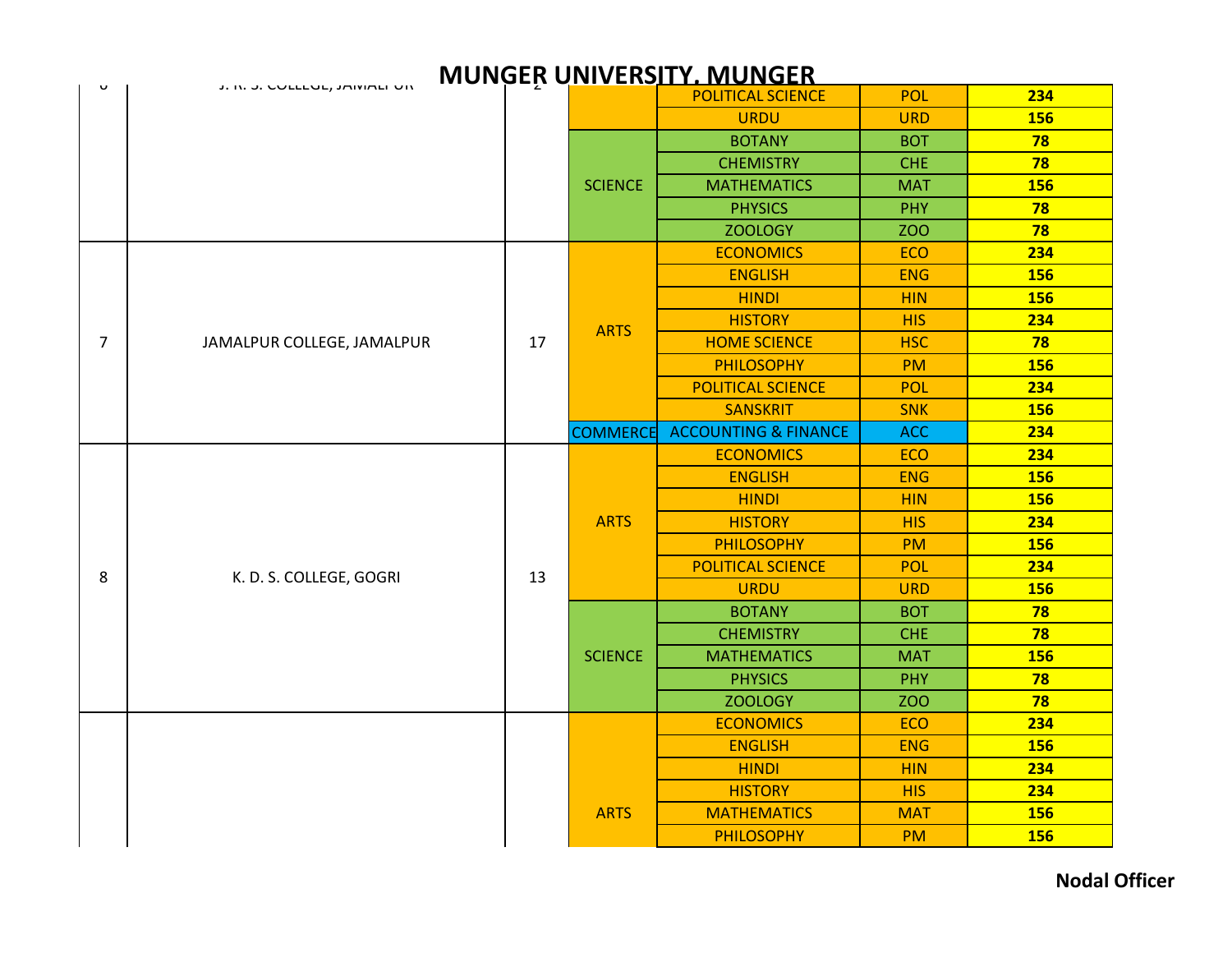|                | <b>MUNGER UNIVERSITY, MUNGER</b> |    |                 |                                 |            |            |  |  |  |
|----------------|----------------------------------|----|-----------------|---------------------------------|------------|------------|--|--|--|
| U              | J. IV. J. COLLEDE, JAIVIALE UN   |    |                 | <b>POLITICAL SCIENCE</b>        | <b>POL</b> | 234        |  |  |  |
|                |                                  |    |                 | <b>URDU</b>                     | <b>URD</b> | 156        |  |  |  |
|                |                                  |    |                 | <b>BOTANY</b>                   | <b>BOT</b> | 78         |  |  |  |
|                |                                  |    |                 | <b>CHEMISTRY</b>                | <b>CHE</b> | 78         |  |  |  |
|                |                                  |    | <b>SCIENCE</b>  | <b>MATHEMATICS</b>              | <b>MAT</b> | 156        |  |  |  |
|                |                                  |    |                 | <b>PHYSICS</b>                  | PHY        | 78         |  |  |  |
|                |                                  |    |                 | <b>ZOOLOGY</b>                  | ZOO        | 78         |  |  |  |
|                |                                  |    |                 | <b>ECONOMICS</b>                | <b>ECO</b> | 234        |  |  |  |
|                |                                  |    |                 | <b>ENGLISH</b>                  | <b>ENG</b> | <b>156</b> |  |  |  |
|                |                                  |    |                 | <b>HINDI</b>                    | <b>HIN</b> | 156        |  |  |  |
|                |                                  |    | <b>ARTS</b>     | <b>HISTORY</b>                  | <b>HIS</b> | 234        |  |  |  |
| $\overline{7}$ | JAMALPUR COLLEGE, JAMALPUR       | 17 |                 | <b>HOME SCIENCE</b>             | <b>HSC</b> | 78         |  |  |  |
|                |                                  |    |                 | <b>PHILOSOPHY</b>               | <b>PM</b>  | <b>156</b> |  |  |  |
|                |                                  |    |                 | <b>POLITICAL SCIENCE</b>        | <b>POL</b> | 234        |  |  |  |
|                |                                  |    |                 | <b>SANSKRIT</b>                 | <b>SNK</b> | 156        |  |  |  |
|                |                                  |    | <b>COMMERCE</b> | <b>ACCOUNTING &amp; FINANCE</b> | <b>ACC</b> | 234        |  |  |  |
|                | K. D. S. COLLEGE, GOGRI          |    |                 | <b>ECONOMICS</b>                | <b>ECO</b> | 234        |  |  |  |
|                |                                  | 13 |                 | <b>ENGLISH</b>                  | <b>ENG</b> | <b>156</b> |  |  |  |
|                |                                  |    |                 | <b>HINDI</b>                    | <b>HIN</b> | 156        |  |  |  |
|                |                                  |    | <b>ARTS</b>     | <b>HISTORY</b>                  | <b>HIS</b> | 234        |  |  |  |
|                |                                  |    |                 | <b>PHILOSOPHY</b>               | <b>PM</b>  | 156        |  |  |  |
| 8              |                                  |    |                 | <b>POLITICAL SCIENCE</b>        | <b>POL</b> | 234        |  |  |  |
|                |                                  |    |                 | <b>URDU</b>                     | <b>URD</b> | 156        |  |  |  |
|                |                                  |    |                 | <b>BOTANY</b>                   | <b>BOT</b> | 78         |  |  |  |
|                |                                  |    |                 | <b>CHEMISTRY</b>                | <b>CHE</b> | 78         |  |  |  |
|                |                                  |    | <b>SCIENCE</b>  | <b>MATHEMATICS</b>              | <b>MAT</b> | <b>156</b> |  |  |  |
|                |                                  |    |                 | <b>PHYSICS</b>                  | <b>PHY</b> | 78         |  |  |  |
|                |                                  |    |                 | <b>ZOOLOGY</b>                  | <b>ZOO</b> | 78         |  |  |  |
|                |                                  |    |                 | <b>ECONOMICS</b>                | <b>ECO</b> | 234        |  |  |  |
|                |                                  |    |                 | <b>ENGLISH</b>                  | <b>ENG</b> | <b>156</b> |  |  |  |
|                |                                  |    |                 | <b>HINDI</b>                    | <b>HIN</b> | 234        |  |  |  |
|                |                                  |    |                 | <b>HISTORY</b>                  | <b>HIS</b> | 234        |  |  |  |
|                |                                  |    | <b>ARTS</b>     | <b>MATHEMATICS</b>              | <b>MAT</b> | <b>156</b> |  |  |  |
|                |                                  |    |                 | <b>PHILOSOPHY</b>               | <b>PM</b>  | 156        |  |  |  |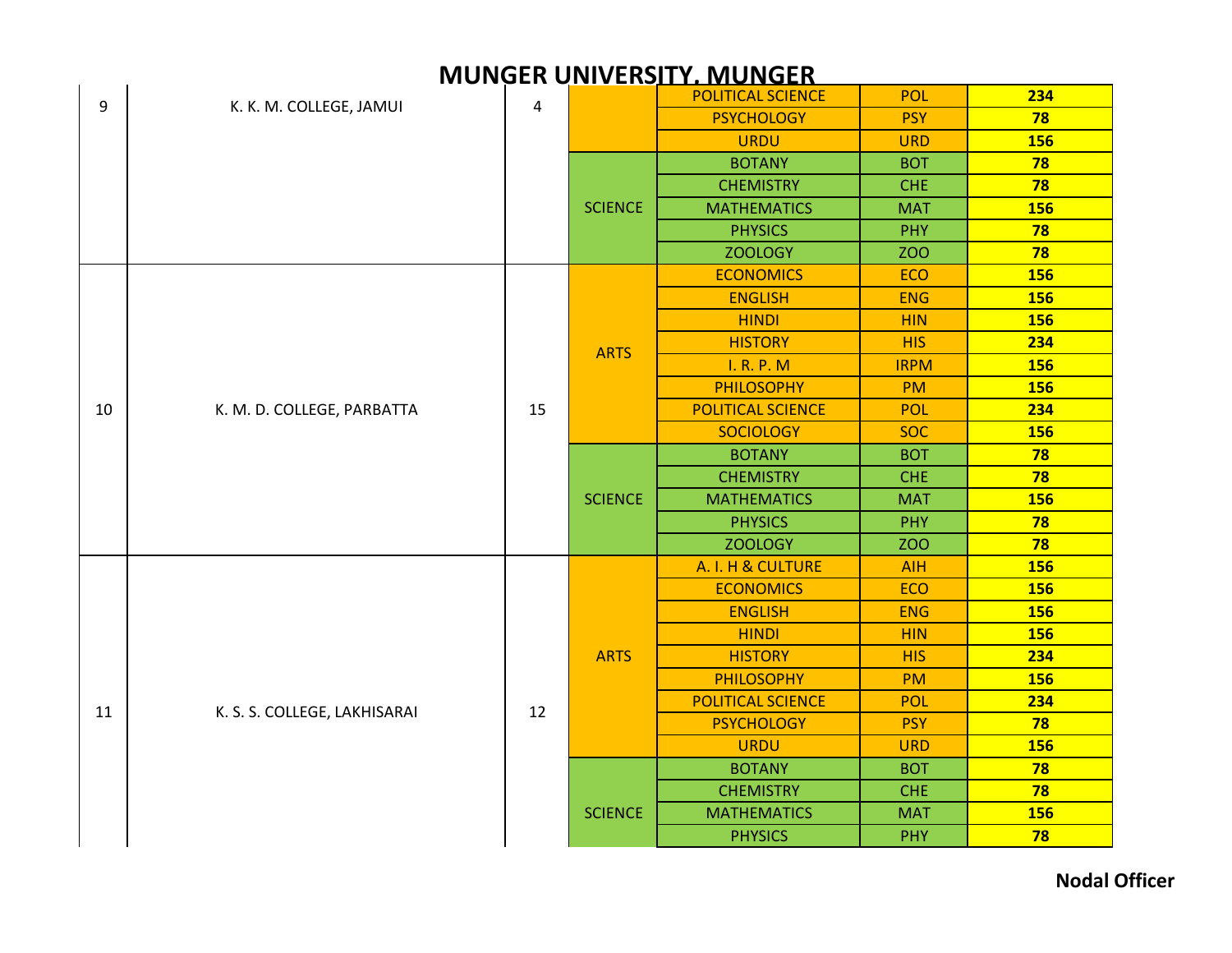|    |                              |                |                | <u>INDIVOLIT ONIVERSITI , INDIVOLIT</u> |             |            |
|----|------------------------------|----------------|----------------|-----------------------------------------|-------------|------------|
| 9  | K. K. M. COLLEGE, JAMUI      | $\overline{4}$ |                | <b>POLITICAL SCIENCE</b>                | POL         | 234        |
|    |                              |                |                | <b>PSYCHOLOGY</b>                       | <b>PSY</b>  | 78         |
|    |                              |                |                | <b>URDU</b>                             | <b>URD</b>  | <b>156</b> |
|    |                              |                |                | <b>BOTANY</b>                           | <b>BOT</b>  | 78         |
|    |                              |                |                | <b>CHEMISTRY</b>                        | <b>CHE</b>  | 78         |
|    |                              |                | <b>SCIENCE</b> | <b>MATHEMATICS</b>                      | <b>MAT</b>  | <b>156</b> |
|    |                              |                |                | <b>PHYSICS</b>                          | <b>PHY</b>  | 78         |
|    |                              |                |                | <b>ZOOLOGY</b>                          | <b>ZOO</b>  | 78         |
|    |                              |                |                | <b>ECONOMICS</b>                        | <b>ECO</b>  | <b>156</b> |
|    |                              |                |                | <b>ENGLISH</b>                          | <b>ENG</b>  | <b>156</b> |
|    |                              |                |                | <b>HINDI</b>                            | <b>HIN</b>  | <b>156</b> |
|    |                              |                | <b>ARTS</b>    | <b>HISTORY</b>                          | <b>HIS</b>  | 234        |
|    |                              |                |                | I. R. P. M                              | <b>IRPM</b> | <b>156</b> |
| 10 |                              |                |                | <b>PHILOSOPHY</b>                       | <b>PM</b>   | <b>156</b> |
|    | K. M. D. COLLEGE, PARBATTA   | 15             |                | <b>POLITICAL SCIENCE</b>                | POL         | 234        |
|    |                              |                |                | <b>SOCIOLOGY</b>                        | <b>SOC</b>  | <b>156</b> |
|    |                              |                | <b>SCIENCE</b> | <b>BOTANY</b>                           | <b>BOT</b>  | 78         |
|    |                              |                |                | <b>CHEMISTRY</b>                        | <b>CHE</b>  | 78         |
|    |                              |                |                | <b>MATHEMATICS</b>                      | <b>MAT</b>  | 156        |
|    |                              |                |                | <b>PHYSICS</b>                          | PHY         | 78         |
|    |                              |                |                | <b>ZOOLOGY</b>                          | <b>ZOO</b>  | 78         |
|    |                              |                |                | A. I. H & CULTURE                       | <b>AIH</b>  | <b>156</b> |
|    |                              |                |                | <b>ECONOMICS</b>                        | <b>ECO</b>  | <b>156</b> |
|    |                              |                |                | <b>ENGLISH</b>                          | <b>ENG</b>  | <b>156</b> |
|    |                              |                |                | <b>HINDI</b>                            | <b>HIN</b>  | <b>156</b> |
|    |                              |                | <b>ARTS</b>    | <b>HISTORY</b>                          | <b>HIS</b>  | 234        |
|    |                              |                |                | <b>PHILOSOPHY</b>                       | <b>PM</b>   | <b>156</b> |
|    |                              |                |                | POLITICAL SCIENCE                       | <b>POL</b>  | 234        |
| 11 | K. S. S. COLLEGE, LAKHISARAI | 12             |                | <b>PSYCHOLOGY</b>                       | <b>PSY</b>  | 78         |
|    |                              |                |                | <b>URDU</b>                             | <b>URD</b>  | <b>156</b> |
|    |                              |                |                | <b>BOTANY</b>                           | <b>BOT</b>  | 78         |
|    |                              |                |                | <b>CHEMISTRY</b>                        | <b>CHE</b>  | 78         |
|    |                              |                | <b>SCIENCE</b> | <b>MATHEMATICS</b>                      | <b>MAT</b>  | <b>156</b> |
|    |                              |                |                | <b>PHYSICS</b>                          | PHY         | 78         |

#### **MUNGER UNIVERSITY, MUNGER**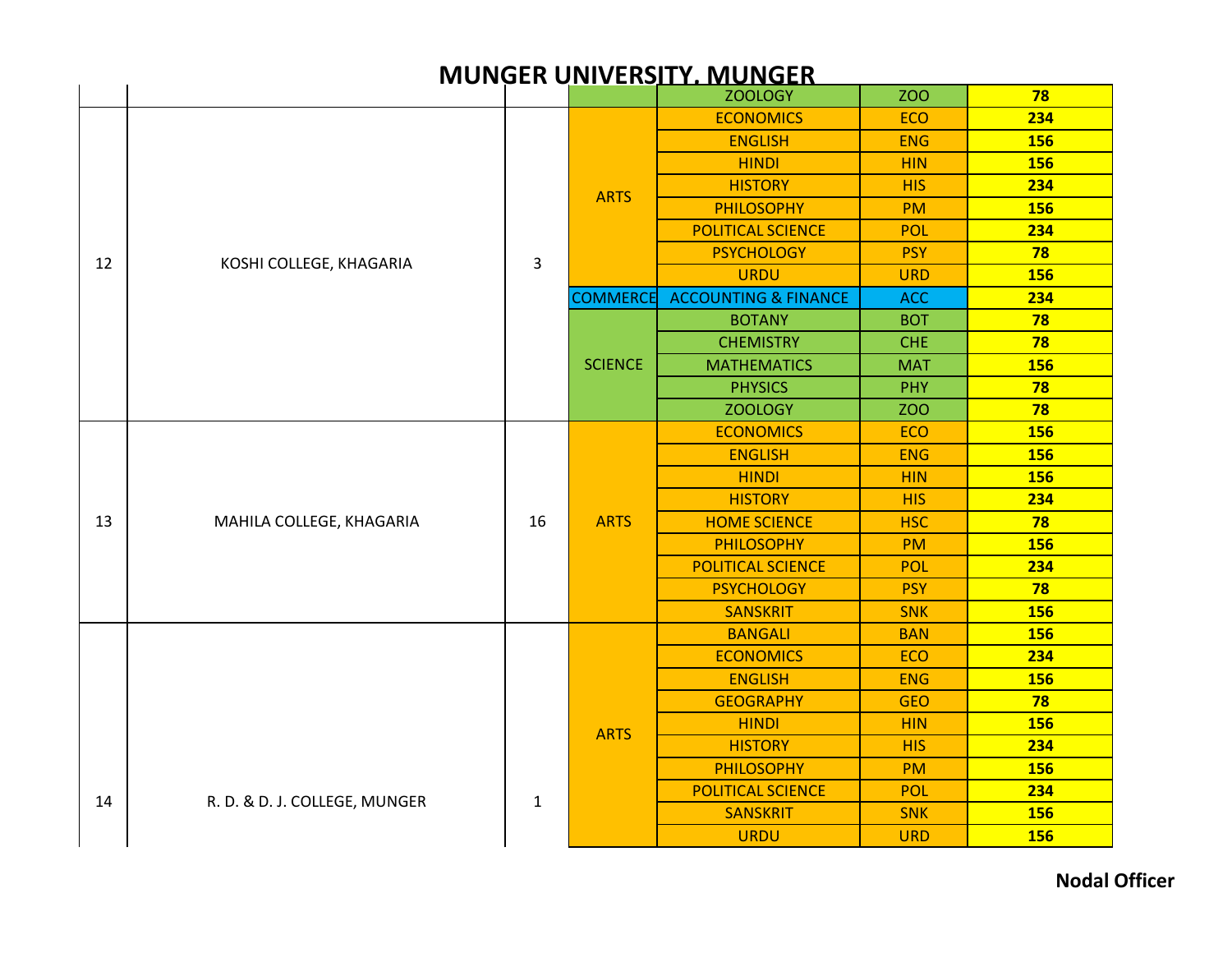|    | <b>MUNGER UNIVERSITY. MUNGER</b> |              |                 |                                 |            |            |  |  |  |  |
|----|----------------------------------|--------------|-----------------|---------------------------------|------------|------------|--|--|--|--|
|    |                                  |              |                 | <b>ZOOLOGY</b>                  | <b>ZOO</b> | 78         |  |  |  |  |
|    |                                  |              |                 | <b>ECONOMICS</b>                | <b>ECO</b> | 234        |  |  |  |  |
|    |                                  |              |                 | <b>ENGLISH</b>                  | <b>ENG</b> | <b>156</b> |  |  |  |  |
|    |                                  |              |                 | <b>HINDI</b>                    | <b>HIN</b> | <b>156</b> |  |  |  |  |
|    |                                  |              | <b>ARTS</b>     | <b>HISTORY</b>                  | <b>HIS</b> | 234        |  |  |  |  |
|    |                                  |              |                 | <b>PHILOSOPHY</b>               | <b>PM</b>  | <b>156</b> |  |  |  |  |
|    |                                  |              |                 | <b>POLITICAL SCIENCE</b>        | <b>POL</b> | 234        |  |  |  |  |
| 12 | KOSHI COLLEGE, KHAGARIA          | 3            |                 | <b>PSYCHOLOGY</b>               | <b>PSY</b> | 78         |  |  |  |  |
|    |                                  |              |                 | <b>URDU</b>                     | <b>URD</b> | <b>156</b> |  |  |  |  |
|    |                                  |              | <b>COMMERCE</b> | <b>ACCOUNTING &amp; FINANCE</b> | <b>ACC</b> | 234        |  |  |  |  |
|    |                                  |              |                 | <b>BOTANY</b>                   | <b>BOT</b> | 78         |  |  |  |  |
|    |                                  |              |                 | <b>CHEMISTRY</b>                | <b>CHE</b> | 78         |  |  |  |  |
|    |                                  |              | <b>SCIENCE</b>  | <b>MATHEMATICS</b>              | <b>MAT</b> | <b>156</b> |  |  |  |  |
|    |                                  |              |                 | <b>PHYSICS</b>                  | <b>PHY</b> | 78         |  |  |  |  |
|    |                                  |              |                 | <b>ZOOLOGY</b>                  | <b>ZOO</b> | 78         |  |  |  |  |
|    |                                  |              |                 | <b>ECONOMICS</b>                | <b>ECO</b> | 156        |  |  |  |  |
|    |                                  |              | <b>ARTS</b>     | <b>ENGLISH</b>                  | <b>ENG</b> | <b>156</b> |  |  |  |  |
|    |                                  |              |                 | <b>HINDI</b>                    | <b>HIN</b> | <b>156</b> |  |  |  |  |
|    | MAHILA COLLEGE, KHAGARIA         | 16           |                 | <b>HISTORY</b>                  | <b>HIS</b> | 234        |  |  |  |  |
| 13 |                                  |              |                 | <b>HOME SCIENCE</b>             | <b>HSC</b> | 78         |  |  |  |  |
|    |                                  |              |                 | <b>PHILOSOPHY</b>               | <b>PM</b>  | <b>156</b> |  |  |  |  |
|    |                                  |              |                 | <b>POLITICAL SCIENCE</b>        | <b>POL</b> | 234        |  |  |  |  |
|    |                                  |              |                 | <b>PSYCHOLOGY</b>               | <b>PSY</b> | 78         |  |  |  |  |
|    |                                  |              |                 | <b>SANSKRIT</b>                 | <b>SNK</b> | <b>156</b> |  |  |  |  |
|    |                                  |              |                 | <b>BANGALI</b>                  | <b>BAN</b> | <b>156</b> |  |  |  |  |
|    |                                  |              |                 | <b>ECONOMICS</b>                | <b>ECO</b> | 234        |  |  |  |  |
|    |                                  |              |                 | <b>ENGLISH</b>                  | <b>ENG</b> | <b>156</b> |  |  |  |  |
|    |                                  |              |                 | <b>GEOGRAPHY</b>                | <b>GEO</b> | 78         |  |  |  |  |
|    |                                  |              | <b>ARTS</b>     | <b>HINDI</b>                    | <b>HIN</b> | 156        |  |  |  |  |
|    |                                  |              |                 | <b>HISTORY</b>                  | <b>HIS</b> | 234        |  |  |  |  |
|    |                                  |              |                 | <b>PHILOSOPHY</b>               | <b>PM</b>  | <b>156</b> |  |  |  |  |
| 14 | R. D. & D. J. COLLEGE, MUNGER    | $\mathbf{1}$ |                 | <b>POLITICAL SCIENCE</b>        | <b>POL</b> | 234        |  |  |  |  |
|    |                                  |              |                 | <b>SANSKRIT</b>                 | <b>SNK</b> | <b>156</b> |  |  |  |  |
|    |                                  |              |                 | <b>URDU</b>                     | <b>URD</b> | <b>156</b> |  |  |  |  |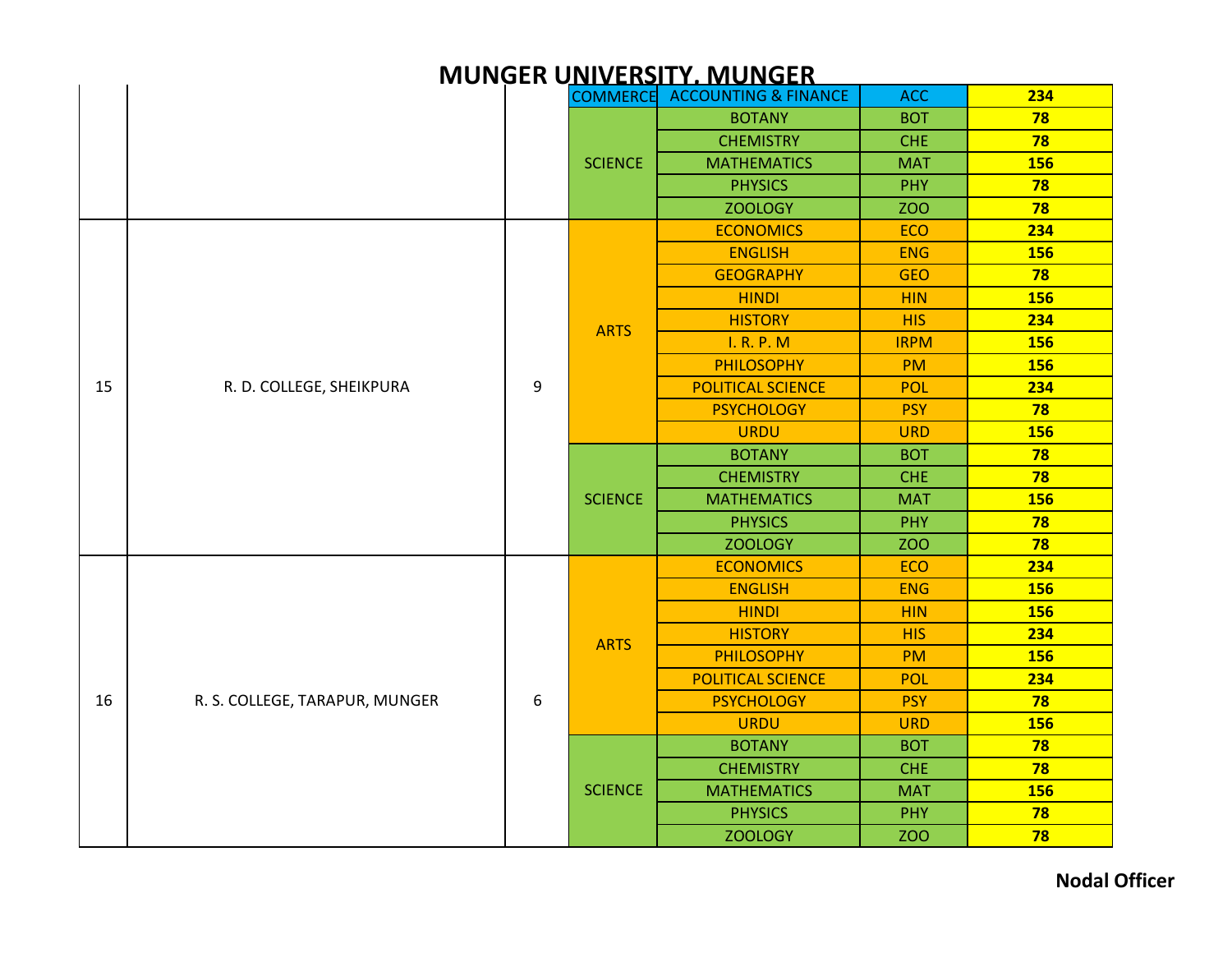|    |                                |   |                | <u>IVIUNGEN UNIVENSITT. IVIUNGEN</u>     |             |            |
|----|--------------------------------|---|----------------|------------------------------------------|-------------|------------|
|    |                                |   |                | <b>COMMERCE ACCOUNTING &amp; FINANCE</b> | <b>ACC</b>  | 234        |
|    |                                |   |                | <b>BOTANY</b>                            | <b>BOT</b>  | 78         |
|    |                                |   |                | <b>CHEMISTRY</b>                         | <b>CHE</b>  | 78         |
|    |                                |   | <b>SCIENCE</b> | <b>MATHEMATICS</b>                       | <b>MAT</b>  | <b>156</b> |
|    |                                |   |                | <b>PHYSICS</b>                           | <b>PHY</b>  | 78         |
|    |                                |   |                | <b>ZOOLOGY</b>                           | <b>ZOO</b>  | 78         |
|    |                                |   |                | <b>ECONOMICS</b>                         | <b>ECO</b>  | 234        |
|    |                                |   |                | <b>ENGLISH</b>                           | <b>ENG</b>  | <b>156</b> |
|    |                                |   |                | <b>GEOGRAPHY</b>                         | <b>GEO</b>  | 78         |
|    |                                |   |                | <b>HINDI</b>                             | <b>HIN</b>  | <b>156</b> |
|    |                                |   |                | <b>HISTORY</b>                           | <b>HIS</b>  | 234        |
|    |                                |   | <b>ARTS</b>    | <b>I. R. P. M</b>                        | <b>IRPM</b> | <b>156</b> |
|    |                                |   |                | <b>PHILOSOPHY</b>                        | <b>PM</b>   | <b>156</b> |
| 15 | R. D. COLLEGE, SHEIKPURA       | 9 |                | <b>POLITICAL SCIENCE</b>                 | <b>POL</b>  | 234        |
|    |                                |   |                | <b>PSYCHOLOGY</b>                        | <b>PSY</b>  | 78         |
|    |                                |   |                | <b>URDU</b>                              | <b>URD</b>  | <b>156</b> |
|    |                                |   | <b>SCIENCE</b> | <b>BOTANY</b>                            | <b>BOT</b>  | 78         |
|    |                                |   |                | <b>CHEMISTRY</b>                         | <b>CHE</b>  | 78         |
|    |                                |   |                | <b>MATHEMATICS</b>                       | <b>MAT</b>  | <b>156</b> |
|    |                                |   |                | <b>PHYSICS</b>                           | <b>PHY</b>  | 78         |
|    |                                |   |                | <b>ZOOLOGY</b>                           | <b>ZOO</b>  | 78         |
|    |                                |   |                | <b>ECONOMICS</b>                         | <b>ECO</b>  | 234        |
|    |                                |   |                | <b>ENGLISH</b>                           | <b>ENG</b>  | <b>156</b> |
|    |                                |   |                | <b>HINDI</b>                             | <b>HIN</b>  | <b>156</b> |
|    |                                |   |                | <b>HISTORY</b>                           | <b>HIS</b>  | 234        |
|    |                                |   | <b>ARTS</b>    | <b>PHILOSOPHY</b>                        | <b>PM</b>   | <b>156</b> |
|    |                                |   |                | <b>POLITICAL SCIENCE</b>                 | <b>POL</b>  | 234        |
| 16 | R. S. COLLEGE, TARAPUR, MUNGER | 6 |                | <b>PSYCHOLOGY</b>                        | <b>PSY</b>  | 78         |
|    |                                |   |                | <b>URDU</b>                              | <b>URD</b>  | <b>156</b> |
|    |                                |   |                | <b>BOTANY</b>                            | <b>BOT</b>  | 78         |
|    |                                |   |                | <b>CHEMISTRY</b>                         | <b>CHE</b>  | 78         |
|    |                                |   | <b>SCIENCE</b> | <b>MATHEMATICS</b>                       | <b>MAT</b>  | <b>156</b> |
|    |                                |   |                | <b>PHYSICS</b>                           | <b>PHY</b>  | 78         |
|    |                                |   |                | <b>ZOOLOGY</b>                           | <b>ZOO</b>  | 78         |

### **MUNGED UNIVERSITY MUNGER**